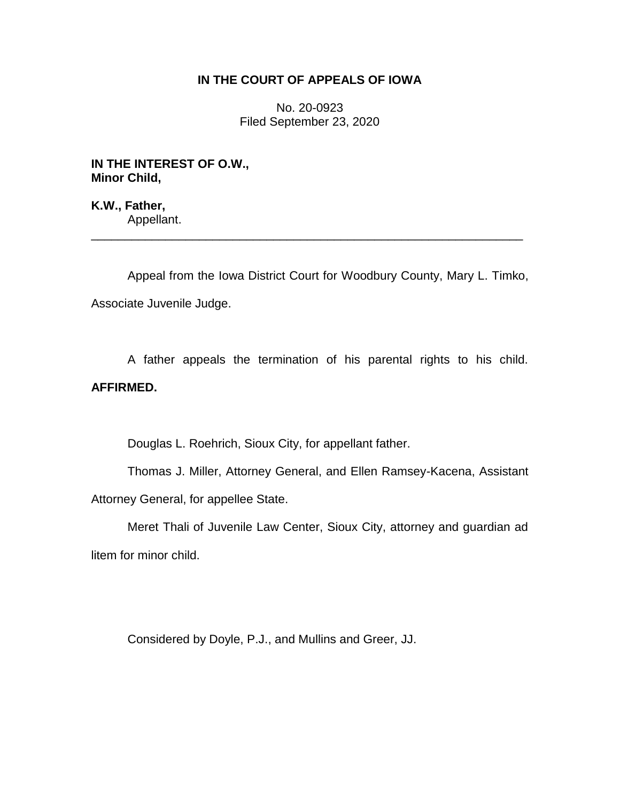## **IN THE COURT OF APPEALS OF IOWA**

No. 20-0923 Filed September 23, 2020

**IN THE INTEREST OF O.W., Minor Child,**

**K.W., Father,** Appellant.

Appeal from the Iowa District Court for Woodbury County, Mary L. Timko, Associate Juvenile Judge.

\_\_\_\_\_\_\_\_\_\_\_\_\_\_\_\_\_\_\_\_\_\_\_\_\_\_\_\_\_\_\_\_\_\_\_\_\_\_\_\_\_\_\_\_\_\_\_\_\_\_\_\_\_\_\_\_\_\_\_\_\_\_\_\_

A father appeals the termination of his parental rights to his child. **AFFIRMED.**

Douglas L. Roehrich, Sioux City, for appellant father.

Thomas J. Miller, Attorney General, and Ellen Ramsey-Kacena, Assistant Attorney General, for appellee State.

Meret Thali of Juvenile Law Center, Sioux City, attorney and guardian ad litem for minor child.

Considered by Doyle, P.J., and Mullins and Greer, JJ.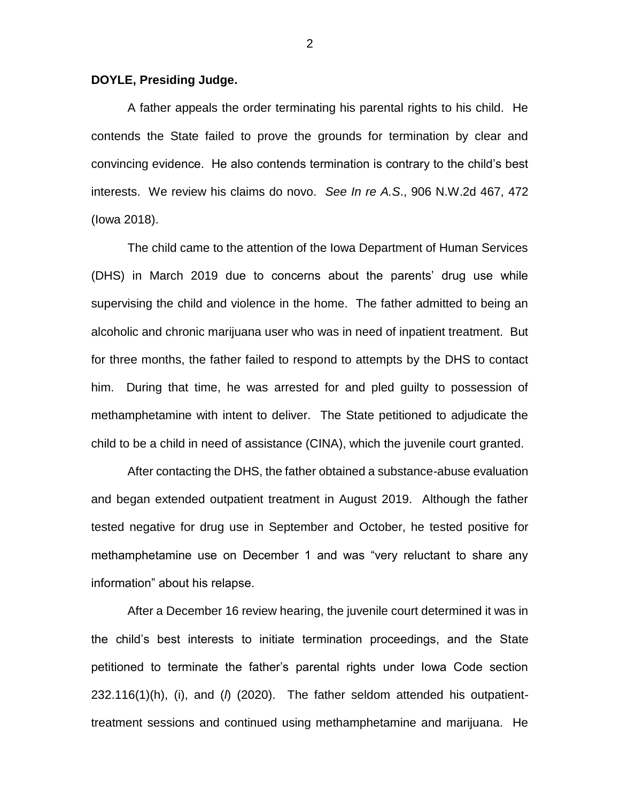## **DOYLE, Presiding Judge.**

A father appeals the order terminating his parental rights to his child. He contends the State failed to prove the grounds for termination by clear and convincing evidence. He also contends termination is contrary to the child's best interests. We review his claims do novo. *See In re A.S*., 906 N.W.2d 467, 472 (Iowa 2018).

The child came to the attention of the Iowa Department of Human Services (DHS) in March 2019 due to concerns about the parents' drug use while supervising the child and violence in the home. The father admitted to being an alcoholic and chronic marijuana user who was in need of inpatient treatment. But for three months, the father failed to respond to attempts by the DHS to contact him. During that time, he was arrested for and pled guilty to possession of methamphetamine with intent to deliver. The State petitioned to adjudicate the child to be a child in need of assistance (CINA), which the juvenile court granted.

After contacting the DHS, the father obtained a substance-abuse evaluation and began extended outpatient treatment in August 2019. Although the father tested negative for drug use in September and October, he tested positive for methamphetamine use on December 1 and was "very reluctant to share any information" about his relapse.

After a December 16 review hearing, the juvenile court determined it was in the child's best interests to initiate termination proceedings, and the State petitioned to terminate the father's parental rights under Iowa Code section 232.116(1)(h), (i), and (*l*) (2020). The father seldom attended his outpatienttreatment sessions and continued using methamphetamine and marijuana. He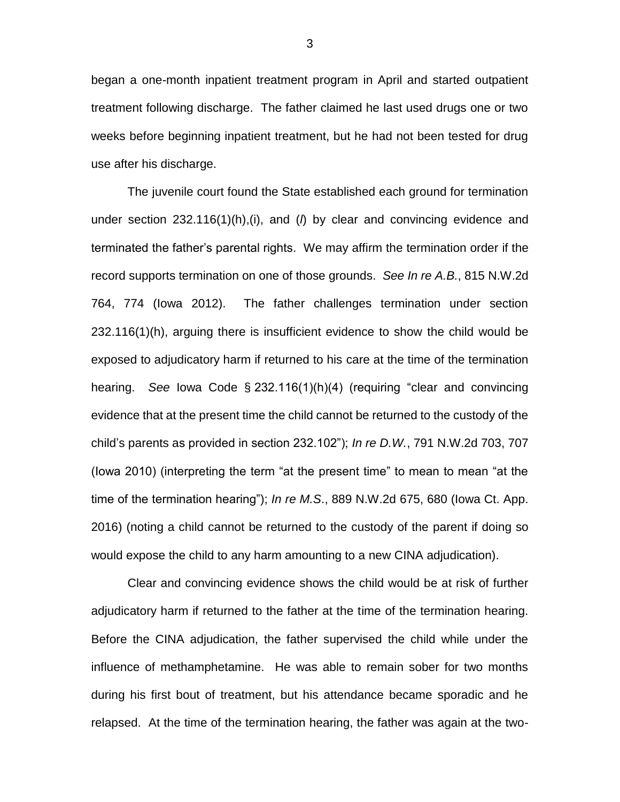began a one-month inpatient treatment program in April and started outpatient treatment following discharge. The father claimed he last used drugs one or two weeks before beginning inpatient treatment, but he had not been tested for drug use after his discharge.

The juvenile court found the State established each ground for termination under section 232.116(1)(h),(i), and (*l*) by clear and convincing evidence and terminated the father's parental rights. We may affirm the termination order if the record supports termination on one of those grounds. *See In re A.B.*, 815 N.W.2d 764, 774 (Iowa 2012). The father challenges termination under section 232.116(1)(h), arguing there is insufficient evidence to show the child would be exposed to adjudicatory harm if returned to his care at the time of the termination hearing. *See* Iowa Code § 232.116(1)(h)(4) (requiring "clear and convincing evidence that at the present time the child cannot be returned to the custody of the child's parents as provided in section 232.102"); *In re D.W.*, 791 N.W.2d 703, 707 (Iowa 2010) (interpreting the term "at the present time" to mean to mean "at the time of the termination hearing"); *In re M.S*., 889 N.W.2d 675, 680 (Iowa Ct. App. 2016) (noting a child cannot be returned to the custody of the parent if doing so would expose the child to any harm amounting to a new CINA adjudication).

Clear and convincing evidence shows the child would be at risk of further adjudicatory harm if returned to the father at the time of the termination hearing. Before the CINA adjudication, the father supervised the child while under the influence of methamphetamine. He was able to remain sober for two months during his first bout of treatment, but his attendance became sporadic and he relapsed. At the time of the termination hearing, the father was again at the two-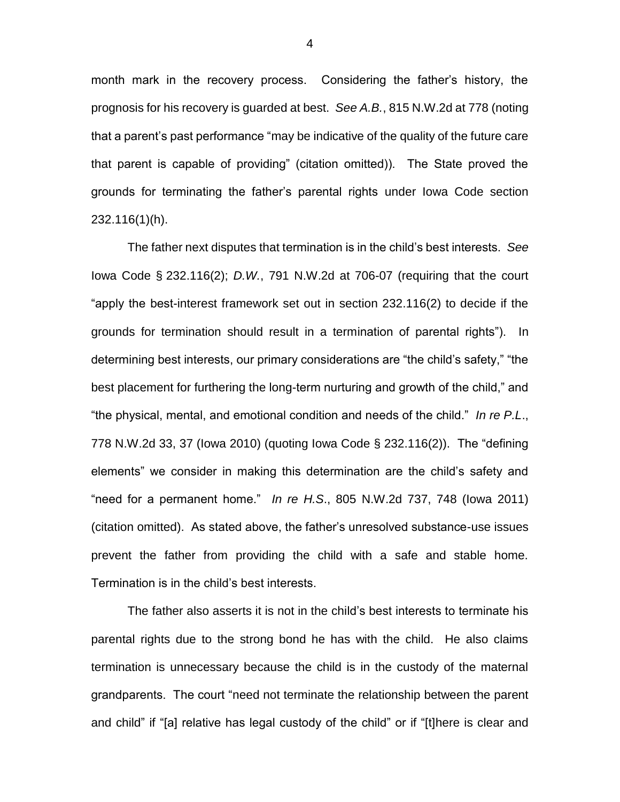month mark in the recovery process. Considering the father's history, the prognosis for his recovery is guarded at best. *See A.B.*, 815 N.W.2d at 778 (noting that a parent's past performance "may be indicative of the quality of the future care that parent is capable of providing" (citation omitted)). The State proved the grounds for terminating the father's parental rights under Iowa Code section 232.116(1)(h).

The father next disputes that termination is in the child's best interests. *See*  Iowa Code § 232.116(2); *D.W.*, 791 N.W.2d at 706-07 (requiring that the court "apply the best-interest framework set out in section 232.116(2) to decide if the grounds for termination should result in a termination of parental rights"). In determining best interests, our primary considerations are "the child's safety," "the best placement for furthering the long-term nurturing and growth of the child," and "the physical, mental, and emotional condition and needs of the child." *In re P.L*., 778 N.W.2d 33, 37 (Iowa 2010) (quoting Iowa Code § 232.116(2)). The "defining elements" we consider in making this determination are the child's safety and "need for a permanent home." *In re H.S*., 805 N.W.2d 737, 748 (Iowa 2011) (citation omitted). As stated above, the father's unresolved substance-use issues prevent the father from providing the child with a safe and stable home. Termination is in the child's best interests.

The father also asserts it is not in the child's best interests to terminate his parental rights due to the strong bond he has with the child. He also claims termination is unnecessary because the child is in the custody of the maternal grandparents. The court "need not terminate the relationship between the parent and child" if "[a] relative has legal custody of the child" or if "[t]here is clear and

4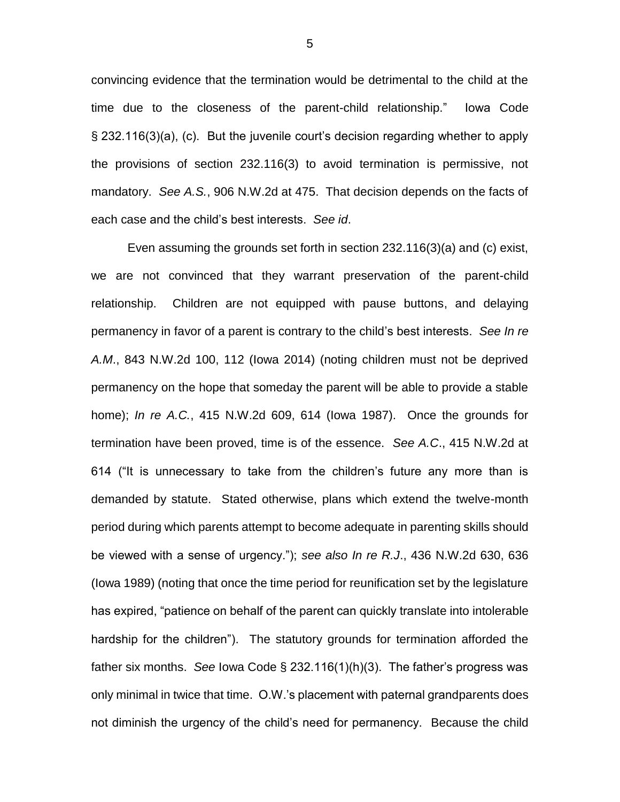convincing evidence that the termination would be detrimental to the child at the time due to the closeness of the parent-child relationship." Iowa Code § 232.116(3)(a), (c). But the juvenile court's decision regarding whether to apply the provisions of section 232.116(3) to avoid termination is permissive, not mandatory. *See A.S.*, 906 N.W.2d at 475. That decision depends on the facts of each case and the child's best interests. *See id*.

Even assuming the grounds set forth in section 232.116(3)(a) and (c) exist, we are not convinced that they warrant preservation of the parent-child relationship. Children are not equipped with pause buttons, and delaying permanency in favor of a parent is contrary to the child's best interests. *See In re A.M*., 843 N.W.2d 100, 112 (Iowa 2014) (noting children must not be deprived permanency on the hope that someday the parent will be able to provide a stable home); *In re A.C.*, 415 N.W.2d 609, 614 (Iowa 1987). Once the grounds for termination have been proved, time is of the essence. *See A.C*., 415 N.W.2d at 614 ("It is unnecessary to take from the children's future any more than is demanded by statute. Stated otherwise, plans which extend the twelve-month period during which parents attempt to become adequate in parenting skills should be viewed with a sense of urgency."); *see also In re R.J*., 436 N.W.2d 630, 636 (Iowa 1989) (noting that once the time period for reunification set by the legislature has expired, "patience on behalf of the parent can quickly translate into intolerable hardship for the children"). The statutory grounds for termination afforded the father six months. *See* Iowa Code § 232.116(1)(h)(3). The father's progress was only minimal in twice that time. O.W.'s placement with paternal grandparents does not diminish the urgency of the child's need for permanency. Because the child